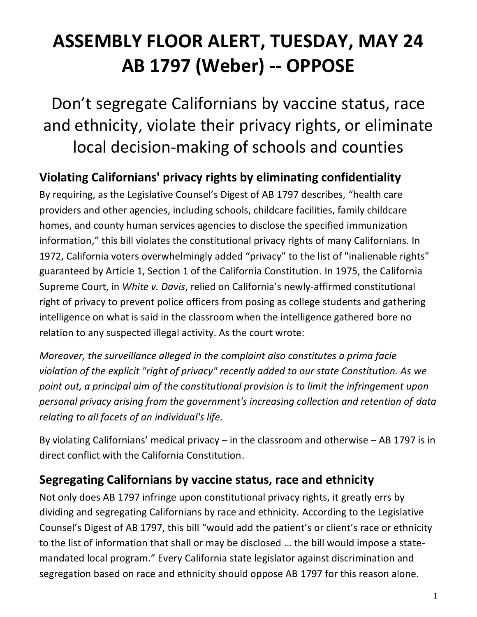# **ASSEMBLY FLOOR ALERT, TUESDAY, MAY 24 AB 1797 (Weber) -- OPPOSE**

Don't segregate Californians by vaccine status, race and ethnicity, violate their privacy rights, or eliminate local decision-making of schools and counties

**Violating Californians' privacy rights by eliminating confidentiality**

By requiring, as the Legislative Counsel's Digest of AB 1797 describes, "health care providers and other agencies, including schools, childcare facilities, family childcare homes, and county human services agencies to disclose the specified immunization information," this bill violates the constitutional privacy rights of many Californians. In 1972, California voters overwhelmingly added "privacy" to the list of "inalienable rights" guaranteed by Article 1, Section 1 of the California Constitution. In 1975, the California Supreme Court, in *White v. Davis*, relied on California's newly-affirmed constitutional right of privacy to prevent police officers from posing as college students and gathering intelligence on what is said in the classroom when the intelligence gathered bore no relation to any suspected illegal activity. As the court wrote:

*Moreover, the surveillance alleged in the complaint also constitutes a prima facie violation of the explicit "right of privacy" recently added to our state Constitution. As we point out, a principal aim of the constitutional provision is to limit the infringement upon personal privacy arising from the government's increasing collection and retention of data relating to all facets of an individual's life.*

By violating Californians' medical privacy  $-$  in the classroom and otherwise  $-$  AB 1797 is in direct conflict with the California Constitution.

### **Segregating Californians by vaccine status, race and ethnicity**

Not only does AB 1797 infringe upon constitutional privacy rights, it greatly errs by dividing and segregating Californians by race and ethnicity. According to the Legislative Counsel's Digest of AB 1797, this bill "would add the patient's or client's race or ethnicity to the list of information that shall or may be disclosed … the bill would impose a statemandated local program." Every California state legislator against discrimination and segregation based on race and ethnicity should oppose AB 1797 for this reason alone.